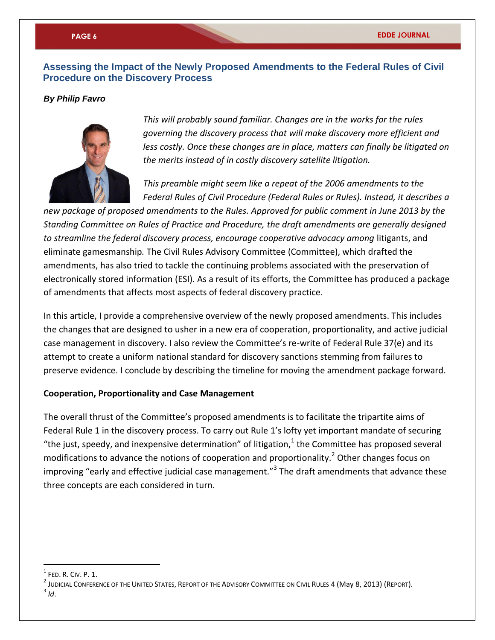# **Assessing the Impact of the Newly Proposed Amendments to the Federal Rules of Civil Procedure on the Discovery Process**

## *By Philip Favro*



*This will probably sound familiar. Changes are in the works for the rules governing the discovery process that will make discovery more efficient and*  less costly. Once these changes are in place, matters can finally be litigated on *the merits instead of in costly discovery satellite litigation.* 

*This preamble might seem like a repeat of the 2006 amendments to the Federal Rules of Civil Procedure (Federal Rules or Rules). Instead, it describes a* 

*new package of proposed amendments to the Rules. Approved for public comment in June 2013 by the Standing Committee on Rules of Practice and Procedure, the draft amendments are generally designed to streamline the federal discovery process, encourage cooperative advocacy among* litigants, and eliminate gamesmanship*.* The Civil Rules Advisory Committee (Committee), which drafted the amendments, has also tried to tackle the continuing problems associated with the preservation of electronically stored information (ESI). As a result of its efforts, the Committee has produced a package of amendments that affects most aspects of federal discovery practice.

In this article, I provide a comprehensive overview of the newly proposed amendments. This includes the changes that are designed to usher in a new era of cooperation, proportionality, and active judicial case management in discovery. I also review the Committee's re-write of Federal Rule 37(e) and its attempt to create a uniform national standard for discovery sanctions stemming from failures to preserve evidence. I conclude by describing the timeline for moving the amendment package forward.

### **Cooperation, Proportionality and Case Management**

The overall thrust of the Committee's proposed amendments is to facilitate the tripartite aims of Federal Rule 1 in the discovery process. To carry out Rule 1's lofty yet important mandate of securing "the just, speedy, and inexpensive determination" of litigation, $^{1}$  the Committee has proposed several modifications to advance the notions of cooperation and proportionality.<sup>2</sup> Other changes focus on improving "early and effective judicial case management."<sup>3</sup> The draft amendments that advance these three concepts are each considered in turn.

 $<sup>1</sup>$  Fed. R. CIV. P. 1.</sup>

 $^{\text{2}}$  Judicial Conference of the United States, Report of the Advisory Committee on Civil Rules 4 (May 8, 2013) (Report).  $3/d.$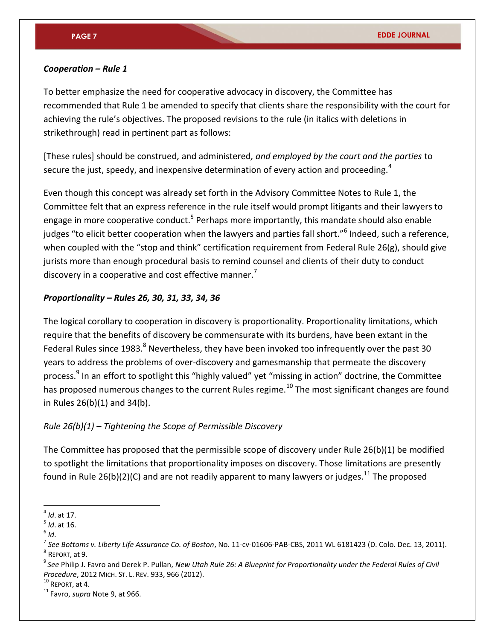### *Cooperation – Rule 1*

To better emphasize the need for cooperative advocacy in discovery, the Committee has recommended that Rule 1 be amended to specify that clients share the responsibility with the court for achieving the rule's objectives. The proposed revisions to the rule (in italics with deletions in strikethrough) read in pertinent part as follows:

[These rules] should be construed*,* and administered*, and employed by the court and the parties* to secure the just, speedy, and inexpensive determination of every action and proceeding.<sup>4</sup>

Even though this concept was already set forth in the Advisory Committee Notes to Rule 1, the Committee felt that an express reference in the rule itself would prompt litigants and their lawyers to engage in more cooperative conduct.<sup>5</sup> Perhaps more importantly, this mandate should also enable judges "to elicit better cooperation when the lawyers and parties fall short."<sup>6</sup> Indeed, such a reference, when coupled with the "stop and think" certification requirement from Federal Rule 26(g), should give jurists more than enough procedural basis to remind counsel and clients of their duty to conduct discovery in a cooperative and cost effective manner.<sup>7</sup>

# *Proportionality – Rules 26, 30, 31, 33, 34, 36*

The logical corollary to cooperation in discovery is proportionality. Proportionality limitations, which require that the benefits of discovery be commensurate with its burdens, have been extant in the Federal Rules since 1983.<sup>8</sup> Nevertheless, they have been invoked too infrequently over the past 30 years to address the problems of over-discovery and gamesmanship that permeate the discovery process.<sup>9</sup> In an effort to spotlight this "highly valued" yet "missing in action" doctrine, the Committee has proposed numerous changes to the current Rules regime.<sup>10</sup> The most significant changes are found in Rules 26(b)(1) and 34(b).

# *Rule 26(b)(1) – Tightening the Scope of Permissible Discovery*

The Committee has proposed that the permissible scope of discovery under Rule 26(b)(1) be modified to spotlight the limitations that proportionality imposes on discovery. Those limitations are presently found in Rule 26(b)(2)(C) and are not readily apparent to many lawyers or judges.<sup>11</sup> The proposed

<sup>4</sup> *Id*. at 17.

<sup>5</sup> *Id*. at 16.

<sup>6</sup> *Id*.

<sup>7</sup> *See Bottoms v. Liberty Life Assurance Co. of Boston*, No. 11-cv-01606-PAB-CBS, 2011 WL 6181423 (D. Colo. Dec. 13, 2011). 8 REPORT, at 9.

<sup>9</sup> *See* Philip J. Favro and Derek P. Pullan, *New Utah Rule 26: A Blueprint for Proportionality under the Federal Rules of Civil Procedure*, 2012 MICH. ST. L. REV. 933, 966 (2012).

<sup>10</sup> REPORT, at 4.

<sup>11</sup> Favro, *supra* Note 9, at 966.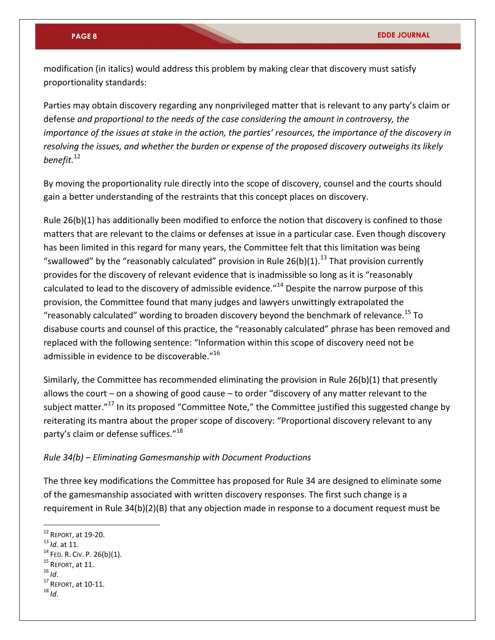modification (in italics) would address this problem by making clear that discovery must satisfy proportionality standards:

Parties may obtain discovery regarding any nonprivileged matter that is relevant to any party's claim or defense *and proportional to the needs of the case considering the amount in controversy, the importance of the issues at stake in the action, the parties' resources, the importance of the discovery in resolving the issues, and whether the burden or expense of the proposed discovery outweighs its likely benefit.*<sup>12</sup>

By moving the proportionality rule directly into the scope of discovery, counsel and the courts should gain a better understanding of the restraints that this concept places on discovery.

Rule 26(b)(1) has additionally been modified to enforce the notion that discovery is confined to those matters that are relevant to the claims or defenses at issue in a particular case. Even though discovery has been limited in this regard for many years, the Committee felt that this limitation was being "swallowed" by the "reasonably calculated" provision in Rule 26(b)(1). $^{13}$  That provision currently provides for the discovery of relevant evidence that is inadmissible so long as it is "reasonably calculated to lead to the discovery of admissible evidence."<sup>14</sup> Despite the narrow purpose of this provision, the Committee found that many judges and lawyers unwittingly extrapolated the "reasonably calculated" wording to broaden discovery beyond the benchmark of relevance.<sup>15</sup> To disabuse courts and counsel of this practice, the "reasonably calculated" phrase has been removed and replaced with the following sentence: "Information within this scope of discovery need not be admissible in evidence to be discoverable."<sup>16</sup>

Similarly, the Committee has recommended eliminating the provision in Rule 26(b)(1) that presently allows the court – on a showing of good cause – to order "discovery of any matter relevant to the subiect matter."<sup>17</sup> In its proposed "Committee Note," the Committee justified this suggested change by reiterating its mantra about the proper scope of discovery: "Proportional discovery relevant to any party's claim or defense suffices."<sup>18</sup>

# *Rule 34(b) – Eliminating Gamesmanship with Document Productions*

The three key modifications the Committee has proposed for Rule 34 are designed to eliminate some of the gamesmanship associated with written discovery responses. The first such change is a requirement in Rule 34(b)(2)(B) that any objection made in response to a document request must be

<sup>12</sup> REPORT, at 19-20.

<sup>13</sup> *Id*. at 11.

 $14$  FED. R. CIV. P. 26(b)(1).

 $15$  REPORT, at 11.

<sup>16</sup> *Id*.

<sup>17</sup> REPORT, at 10-11.

<sup>18</sup> *Id*.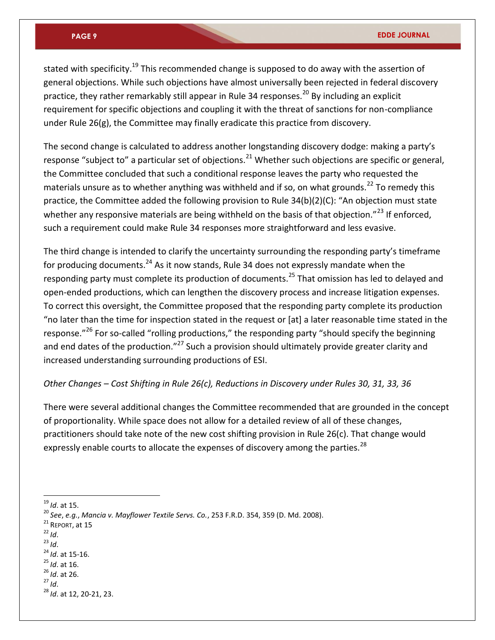stated with specificity.<sup>19</sup> This recommended change is supposed to do away with the assertion of general objections. While such objections have almost universally been rejected in federal discovery practice, they rather remarkably still appear in Rule 34 responses.<sup>20</sup> By including an explicit requirement for specific objections and coupling it with the threat of sanctions for non-compliance under Rule 26(g), the Committee may finally eradicate this practice from discovery.

The second change is calculated to address another longstanding discovery dodge: making a party's response "subject to" a particular set of objections.<sup>21</sup> Whether such objections are specific or general, the Committee concluded that such a conditional response leaves the party who requested the materials unsure as to whether anything was withheld and if so, on what grounds.<sup>22</sup> To remedy this practice, the Committee added the following provision to Rule 34(b)(2)(C): "An objection must state whether any responsive materials are being withheld on the basis of that objection."<sup>23</sup> If enforced, such a requirement could make Rule 34 responses more straightforward and less evasive.

The third change is intended to clarify the uncertainty surrounding the responding party's timeframe for producing documents.<sup>24</sup> As it now stands, Rule 34 does not expressly mandate when the responding party must complete its production of documents.<sup>25</sup> That omission has led to delayed and open-ended productions, which can lengthen the discovery process and increase litigation expenses. To correct this oversight, the Committee proposed that the responding party complete its production "no later than the time for inspection stated in the request or [at] a later reasonable time stated in the response."<sup>26</sup> For so-called "rolling productions," the responding party "should specify the beginning and end dates of the production."<sup>27</sup> Such a provision should ultimately provide greater clarity and increased understanding surrounding productions of ESI.

# *Other Changes – Cost Shifting in Rule 26(c), Reductions in Discovery under Rules 30, 31, 33, 36*

There were several additional changes the Committee recommended that are grounded in the concept of proportionality. While space does not allow for a detailed review of all of these changes, practitioners should take note of the new cost shifting provision in Rule 26(c). That change would expressly enable courts to allocate the expenses of discovery among the parties.<sup>28</sup>

- <sup>21</sup> REPORT, at 15
- <sup>22</sup> *Id*.

- $^{23}$  *Id.*
- <sup>24</sup> *Id*. at 15-16.
- <sup>25</sup> *Id*. at 16. <sup>26</sup> *Id*. at 26.
- <sup>27</sup> *Id*.

<sup>19</sup> *Id*. at 15.

<sup>20</sup> *See*, *e.g.*, *Mancia v. Mayflower Textile Servs. Co.*, 253 F.R.D. 354, 359 (D. Md. 2008).

<sup>28</sup> *Id*. at 12, 20-21, 23.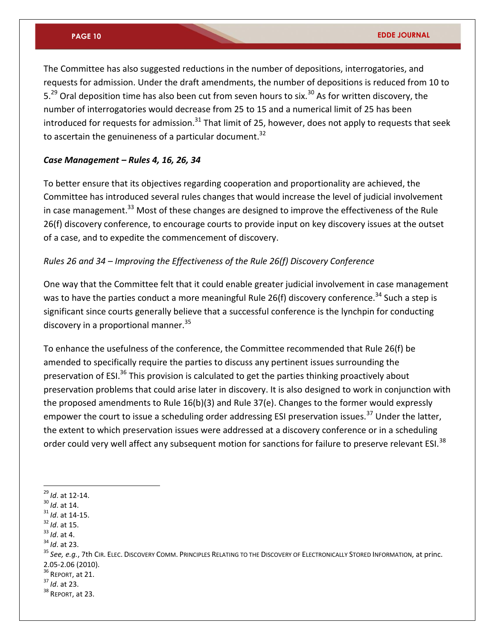The Committee has also suggested reductions in the number of depositions, interrogatories, and requests for admission. Under the draft amendments, the number of depositions is reduced from 10 to 5.<sup>29</sup> Oral deposition time has also been cut from seven hours to six.<sup>30</sup> As for written discovery, the number of interrogatories would decrease from 25 to 15 and a numerical limit of 25 has been introduced for requests for admission.<sup>31</sup> That limit of 25, however, does not apply to requests that seek to ascertain the genuineness of a particular document. $32$ 

### *Case Management – Rules 4, 16, 26, 34*

To better ensure that its objectives regarding cooperation and proportionality are achieved, the Committee has introduced several rules changes that would increase the level of judicial involvement in case management.<sup>33</sup> Most of these changes are designed to improve the effectiveness of the Rule 26(f) discovery conference, to encourage courts to provide input on key discovery issues at the outset of a case, and to expedite the commencement of discovery.

# *Rules 26 and 34 – Improving the Effectiveness of the Rule 26(f) Discovery Conference*

One way that the Committee felt that it could enable greater judicial involvement in case management was to have the parties conduct a more meaningful Rule 26(f) discovery conference.<sup>34</sup> Such a step is significant since courts generally believe that a successful conference is the lynchpin for conducting discovery in a proportional manner.<sup>35</sup>

To enhance the usefulness of the conference, the Committee recommended that Rule 26(f) be amended to specifically require the parties to discuss any pertinent issues surrounding the preservation of ESI.<sup>36</sup> This provision is calculated to get the parties thinking proactively about preservation problems that could arise later in discovery. It is also designed to work in conjunction with the proposed amendments to Rule 16(b)(3) and Rule 37(e). Changes to the former would expressly empower the court to issue a scheduling order addressing ESI preservation issues.<sup>37</sup> Under the latter, the extent to which preservation issues were addressed at a discovery conference or in a scheduling order could very well affect any subsequent motion for sanctions for failure to preserve relevant ESI.<sup>38</sup>

 $\overline{a}$ 

<sup>33</sup> *Id*. at 4.

- $36$  REPORT, at 21.
- <sup>37</sup> *Id*. at 23.
- <sup>38</sup> REPORT, at 23.

<sup>29</sup> *Id*. at 12-14.

<sup>30</sup> *Id*. at 14.

<sup>31</sup> *Id*. at 14-15.

<sup>32</sup> *Id*. at 15.

<sup>34</sup> *Id*. at 23.

<sup>35</sup> *See, e.g.*, 7th CIR. ELEC. DISCOVERY COMM. PRINCIPLES RELATING TO THE DISCOVERY OF ELECTRONICALLY STORED INFORMATION, at princ. 2.05-2.06 (2010).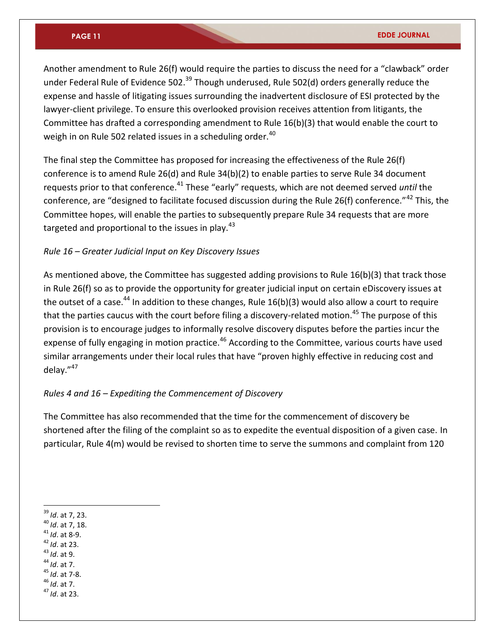Another amendment to Rule 26(f) would require the parties to discuss the need for a "clawback" order under Federal Rule of Evidence 502.<sup>39</sup> Though underused, Rule 502(d) orders generally reduce the expense and hassle of litigating issues surrounding the inadvertent disclosure of ESI protected by the lawyer-client privilege. To ensure this overlooked provision receives attention from litigants, the Committee has drafted a corresponding amendment to Rule 16(b)(3) that would enable the court to weigh in on Rule 502 related issues in a scheduling order.<sup>40</sup>

The final step the Committee has proposed for increasing the effectiveness of the Rule 26(f) conference is to amend Rule 26(d) and Rule 34(b)(2) to enable parties to serve Rule 34 document requests prior to that conference.<sup>41</sup> These "early" requests, which are not deemed served *until* the conference, are "designed to facilitate focused discussion during the Rule 26(f) conference."<sup>42</sup> This, the Committee hopes, will enable the parties to subsequently prepare Rule 34 requests that are more targeted and proportional to the issues in play. $43$ 

# *Rule 16 – Greater Judicial Input on Key Discovery Issues*

As mentioned above, the Committee has suggested adding provisions to Rule 16(b)(3) that track those in Rule 26(f) so as to provide the opportunity for greater judicial input on certain eDiscovery issues at the outset of a case.<sup>44</sup> In addition to these changes, Rule  $16(b)(3)$  would also allow a court to require that the parties caucus with the court before filing a discovery-related motion.<sup>45</sup> The purpose of this provision is to encourage judges to informally resolve discovery disputes before the parties incur the expense of fully engaging in motion practice.<sup>46</sup> According to the Committee, various courts have used similar arrangements under their local rules that have "proven highly effective in reducing cost and delay."<sup>47</sup>

# *Rules 4 and 16 – Expediting the Commencement of Discovery*

The Committee has also recommended that the time for the commencement of discovery be shortened after the filing of the complaint so as to expedite the eventual disposition of a given case. In particular, Rule 4(m) would be revised to shorten time to serve the summons and complaint from 120

- <sup>41</sup> *Id*. at 8-9.
- <sup>42</sup> *Id*. at 23.
- <sup>43</sup> *Id*. at 9.
- <sup>44</sup> *Id*. at 7.
- <sup>45</sup> *Id*. at 7-8. <sup>46</sup> *Id*. at 7.
- <sup>47</sup> *Id*. at 23.

 $\overline{a}$ <sup>39</sup> *Id*. at 7, 23.

<sup>40</sup> *Id*. at 7, 18.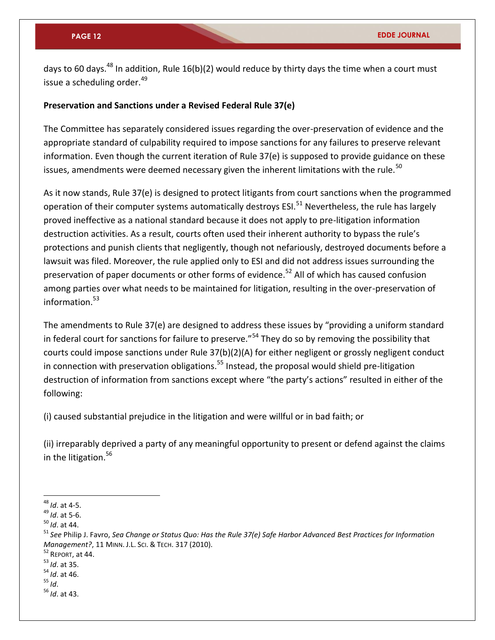days to 60 days.<sup>48</sup> In addition, Rule 16(b)(2) would reduce by thirty days the time when a court must issue a scheduling order.<sup>49</sup>

# **Preservation and Sanctions under a Revised Federal Rule 37(e)**

The Committee has separately considered issues regarding the over-preservation of evidence and the appropriate standard of culpability required to impose sanctions for any failures to preserve relevant information. Even though the current iteration of Rule 37(e) is supposed to provide guidance on these issues, amendments were deemed necessary given the inherent limitations with the rule.<sup>50</sup>

As it now stands, Rule 37(e) is designed to protect litigants from court sanctions when the programmed operation of their computer systems automatically destroys ESI.<sup>51</sup> Nevertheless, the rule has largely proved ineffective as a national standard because it does not apply to pre-litigation information destruction activities. As a result, courts often used their inherent authority to bypass the rule's protections and punish clients that negligently, though not nefariously, destroyed documents before a lawsuit was filed. Moreover, the rule applied only to ESI and did not address issues surrounding the preservation of paper documents or other forms of evidence.<sup>52</sup> All of which has caused confusion among parties over what needs to be maintained for litigation, resulting in the over-preservation of information $53$ 

The amendments to Rule 37(e) are designed to address these issues by "providing a uniform standard in federal court for sanctions for failure to preserve."<sup>54</sup> They do so by removing the possibility that courts could impose sanctions under Rule 37(b)(2)(A) for either negligent or grossly negligent conduct in connection with preservation obligations.<sup>55</sup> Instead, the proposal would shield pre-litigation destruction of information from sanctions except where "the party's actions" resulted in either of the following:

(i) caused substantial prejudice in the litigation and were willful or in bad faith; or

(ii) irreparably deprived a party of any meaningful opportunity to present or defend against the claims in the litigation. $56$ 

<sup>48</sup> *Id*. at 4-5.

<sup>49</sup> *Id*. at 5-6.

<sup>50</sup> *Id*. at 44.

<sup>51</sup> *See* Philip J. Favro, *Sea Change or Status Quo: Has the Rule 37(e) Safe Harbor Advanced Best Practices for Information Management?*, 11 MINN. J.L. SCI. & TECH. 317 (2010).

<sup>52</sup> REPORT, at 44.

<sup>53</sup> *Id*. at 35.

<sup>54</sup> *Id*. at 46.

<sup>55</sup> *Id*.

<sup>56</sup> *Id*. at 43.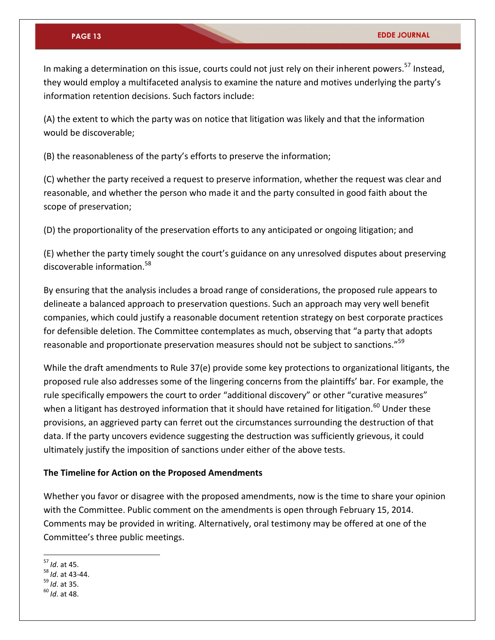In making a determination on this issue, courts could not just rely on their inherent powers.<sup>57</sup> Instead, they would employ a multifaceted analysis to examine the nature and motives underlying the party's information retention decisions. Such factors include:

(A) the extent to which the party was on notice that litigation was likely and that the information would be discoverable;

(B) the reasonableness of the party's efforts to preserve the information;

(C) whether the party received a request to preserve information, whether the request was clear and reasonable, and whether the person who made it and the party consulted in good faith about the scope of preservation;

(D) the proportionality of the preservation efforts to any anticipated or ongoing litigation; and

(E) whether the party timely sought the court's guidance on any unresolved disputes about preserving discoverable information.<sup>58</sup>

By ensuring that the analysis includes a broad range of considerations, the proposed rule appears to delineate a balanced approach to preservation questions. Such an approach may very well benefit companies, which could justify a reasonable document retention strategy on best corporate practices for defensible deletion. The Committee contemplates as much, observing that "a party that adopts reasonable and proportionate preservation measures should not be subject to sanctions."<sup>59</sup>

While the draft amendments to Rule 37(e) provide some key protections to organizational litigants, the proposed rule also addresses some of the lingering concerns from the plaintiffs' bar. For example, the rule specifically empowers the court to order "additional discovery" or other "curative measures" when a litigant has destroyed information that it should have retained for litigation.<sup>60</sup> Under these provisions, an aggrieved party can ferret out the circumstances surrounding the destruction of that data. If the party uncovers evidence suggesting the destruction was sufficiently grievous, it could ultimately justify the imposition of sanctions under either of the above tests.

#### **The Timeline for Action on the Proposed Amendments**

Whether you favor or disagree with the proposed amendments, now is the time to share your opinion with the Committee. Public comment on the amendments is open through February 15, 2014. Comments may be provided in writing. Alternatively, oral testimony may be offered at one of the Committee's three public meetings.

<sup>57</sup> *Id*. at 45.

<sup>58</sup> *Id*. at 43-44.

<sup>59</sup> *Id*. at 35.

<sup>60</sup> *Id*. at 48.